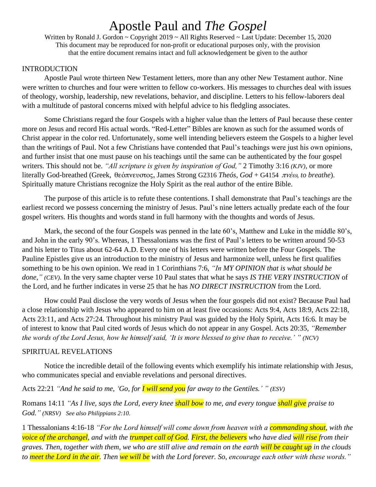Written by Ronald J. Gordon ~ Copyright 2019 ~ All Rights Reserved ~ Last Update: December 15, 2020 This document may be reproduced for non-profit or educational purposes only, with the provision that the entire document remains intact and full acknowledgement be given to the author

#### **INTRODUCTION**

Apostle Paul wrote thirteen New Testament letters, more than any other New Testament author. Nine were written to churches and four were written to fellow co-workers. His messages to churches deal with issues of theology, worship, leadership, new revelations, behavior, and discipline. Letters to his fellow-laborers deal with a multitude of pastoral concerns mixed with helpful advice to his fledgling associates.

Some Christians regard the four Gospels with a higher value than the letters of Paul because these center more on Jesus and record His actual words. "Red-Letter" Bibles are known as such for the assumed words of Christ appear in the color red. Unfortunately, some well intending believers esteem the Gospels to a higher level than the writings of Paul. Not a few Christians have contended that Paul's teachings were just his own opinions, and further insist that one must pause on his teachings until the same can be authenticated by the four gospel writers. This should not be. *"All scripture is given by inspiration of God,"* 2 Timothy 3:16 *(KJV)*, or more literally God-breathed (Greek, θεόπνευστος, James Strong G2316 *Theós*, *God* + G4154 πνέω, *to breathe*). Spiritually mature Christians recognize the Holy Spirit as the real author of the entire Bible.

The purpose of this article is to refute these contentions. I shall demonstrate that Paul's teachings are the earliest record we possess concerning the ministry of Jesus. Paul's nine letters actually predate each of the four gospel writers. His thoughts and words stand in full harmony with the thoughts and words of Jesus.

Mark, the second of the four Gospels was penned in the late 60's, Matthew and Luke in the middle 80's, and John in the early 90's. Whereas, 1 Thessalonians was the first of Paul's letters to be written around 50-53 and his letter to Titus about 62-64 A.D. Every one of his letters were written before the Four Gospels. The Pauline Epistles give us an introduction to the ministry of Jesus and harmonize well, unless he first qualifies something to be his own opinion. We read in 1 Corinthians 7:6, *"In MY OPINION that is what should be done," (CEV).* In the very same chapter verse 10 Paul states that what he says *IS THE VERY INSTRUCTION* of the Lord, and he further indicates in verse 25 that he has *NO DIRECT INSTRUCTION* from the Lord.

How could Paul disclose the very words of Jesus when the four gospels did not exist? Because Paul had a close relationship with Jesus who appeared to him on at least five occasions: Acts 9:4, Acts 18:9, Acts 22:18, Acts 23:11, and Acts 27:24. Throughout his ministry Paul was guided by the Holy Spirit, Acts 16:6. It may be of interest to know that Paul cited words of Jesus which do not appear in any Gospel. Acts 20:35, *"Remember the words of the Lord Jesus, how he himself said, 'It is more blessed to give than to receive.' " (NCV)*

#### SPIRITUAL REVELATIONS

Notice the incredible detail of the following events which exemplify his intimate relationship with Jesus, who communicates special and enviable revelations and personal directives.

Acts 22:21 *"And he said to me, 'Go, for I will send you far away to the Gentiles.' " (ESV)* 

Romans 14:11 *"As I live, says the Lord, every knee shall bow to me, and every tongue shall give praise to God." (NRSV) See also Philippians 2:10.*

1 Thessalonians 4:16-18 *"For the Lord himself will come down from heaven with a commanding shout, with the voice of the archangel, and with the trumpet call of God. First, the believers who have died will rise from their graves. Then, together with them, we who are still alive and remain on the earth will be caught up in the clouds to meet the Lord in the air. Then we will be with the Lord forever. So, encourage each other with these words."*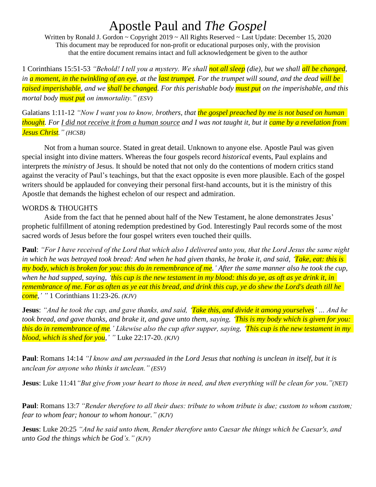Written by Ronald J. Gordon ~ Copyright 2019 ~ All Rights Reserved ~ Last Update: December 15, 2020 This document may be reproduced for non-profit or educational purposes only, with the provision that the entire document remains intact and full acknowledgement be given to the author

1 Corinthians 15:51-53 *"Behold! I tell you a mystery. We shall not all sleep (die), but we shall all be changed, in a moment, in the twinkling of an eye, at the last trumpet. For the trumpet will sound, and the dead will be raised imperishable, and we shall be changed. For this perishable body must put on the imperishable, and this mortal body must put on immortality." (ESV)*

Galatians 1:11-12 *"Now I want you to know, brothers, that the gospel preached by me is not based on human thought. For I did not receive it from a human source and I was not taught it, but it came by a revelation from Jesus Christ." (HCSB)*

Not from a human source. Stated in great detail. Unknown to anyone else. Apostle Paul was given special insight into divine matters. Whereas the four gospels record *historical* events, Paul explains and interprets the *ministry* of Jesus. It should be noted that not only do the contentions of modern critics stand against the veracity of Paul's teachings, but that the exact opposite is even more plausible. Each of the gospel writers should be applauded for conveying their personal first-hand accounts, but it is the ministry of this Apostle that demands the highest echelon of our respect and admiration.

### WORDS & THOUGHTS

Aside from the fact that he penned about half of the New Testament, he alone demonstrates Jesus' prophetic fulfillment of atoning redemption predestined by God. Interestingly Paul records some of the most sacred words of Jesus before the four gospel writers even touched their quills.

**Paul**: *"For I have received of the Lord that which also I delivered unto you, that the Lord Jesus the same night in which he was betrayed took bread: And when he had given thanks, he brake it, and said, 'Take, eat: this is my body, which is broken for you: this do in remembrance of me.' After the same manner also he took the cup, when he had supped, saying, 'this cup is the new testament in my blood: this do ye, as oft as ye drink it, in remembrance of me. For as often as ye eat this bread, and drink this cup, ye do shew the Lord's death till he come,' "* 1 Corinthians 11:23-26. *(KJV)*

**Jesus**: *"And he took the cup, and gave thanks, and said, 'Take this, and divide it among yourselves' … And he took bread, and gave thanks, and brake it, and gave unto them, saying, 'This is my body which is given for you: this do in remembrance of me.' Likewise also the cup after supper, saying, 'This cup is the new testament in my blood, which is shed for you,' "* Luke 22:17-20. *(KJV)*

**Paul**: Romans 14:14 *"I know and am persuaded in the Lord Jesus that nothing is unclean in itself, but it is unclean for anyone who thinks it unclean." (ESV)*

**Jesus**: Luke 11:41*"But give from your heart to those in need, and then everything will be clean for you."(NET)*

**Paul**: Romans 13:7 *"Render therefore to all their dues: tribute to whom tribute is due; custom to whom custom; fear to whom fear; honour to whom honour." (KJV)*

**Jesus**: Luke 20:25 *"And he said unto them, Render therefore unto Caesar the things which be Caesar's, and unto God the things which be God's." (KJV)*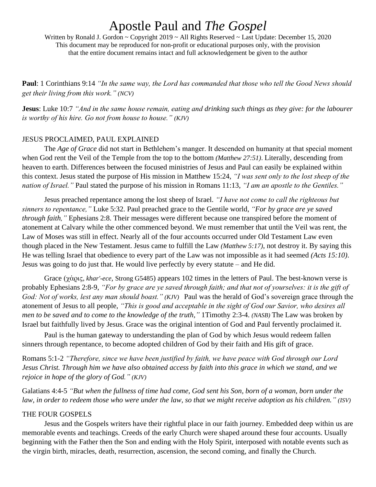Written by Ronald J. Gordon ~ Copyright 2019 ~ All Rights Reserved ~ Last Update: December 15, 2020 This document may be reproduced for non-profit or educational purposes only, with the provision that the entire document remains intact and full acknowledgement be given to the author

**Paul**: 1 Corinthians 9:14 *"In the same way, the Lord has commanded that those who tell the Good News should get their living from this work." (NCV)*

**Jesus**: Luke 10:7 *"And in the same house remain, eating and drinking such things as they give: for the labourer is worthy of his hire. Go not from house to house." (KJV)*

### JESUS PROCLAIMED, PAUL EXPLAINED

The *Age of Grace* did not start in Bethlehem's manger. It descended on humanity at that special moment when God rent the Veil of the Temple from the top to the bottom *(Matthew 27:51)*. Literally, descending from heaven to earth. Differences between the focused ministries of Jesus and Paul can easily be explained within this context. Jesus stated the purpose of His mission in Matthew 15:24, *"I was sent only to the lost sheep of the nation of Israel."* Paul stated the purpose of his mission in Romans 11:13, *"I am an apostle to the Gentiles."*

Jesus preached repentance among the lost sheep of Israel. *"I have not come to call the righteous but sinners to repentance,"* Luke 5:32. Paul preached grace to the Gentile world, *"For by grace are ye saved through faith,"* Ephesians 2:8. Their messages were different because one transpired before the moment of atonement at Calvary while the other commenced beyond. We must remember that until the Veil was rent, the Law of Moses was still in effect. Nearly all of the four accounts occurred under Old Testament Law even though placed in the New Testament. Jesus came to fulfill the Law *(Matthew 5:17)*, not destroy it. By saying this He was telling Israel that obedience to every part of the Law was not impossible as it had seemed *(Acts 15:10)*. Jesus was going to do just that. He would live perfectly by every statute – and He did.

Grace (χάρις, *khar'-ece,* Strong G5485) appears 102 times in the letters of Paul. The best-known verse is probably Ephesians 2:8-9, *"For by grace are ye saved through faith; and that not of yourselves: it is the gift of God: Not of works, lest any man should boast." (KJV)* Paul was the herald of God's sovereign grace through the atonement of Jesus to all people, *"This is good and acceptable in the sight of God our Savior, who desires all men to be saved and to come to the knowledge of the truth,"* 1Timothy 2:3-4. *(NASB)* The Law was broken by Israel but faithfully lived by Jesus. Grace was the original intention of God and Paul fervently proclaimed it.

Paul is the human gateway to understanding the plan of God by which Jesus would redeem fallen sinners through repentance, to become adopted children of God by their faith and His gift of grace.

Romans 5:1-2 *"Therefore, since we have been justified by faith, we have peace with God through our Lord Jesus Christ. Through him we have also obtained access by faith into this grace in which we stand, and we rejoice in hope of the glory of God." (KJV)*

Galatians 4:4-5 *"But when the fullness of time had come, God sent his Son, born of a woman, born under the law, in order to redeem those who were under the law, so that we might receive adoption as his children." (ISV)*

### THE FOUR GOSPELS

Jesus and the Gospels writers have their rightful place in our faith journey. Embedded deep within us are memorable events and teachings. Creeds of the early Church were shaped around these four accounts. Usually beginning with the Father then the Son and ending with the Holy Spirit, interposed with notable events such as the virgin birth, miracles, death, resurrection, ascension, the second coming, and finally the Church.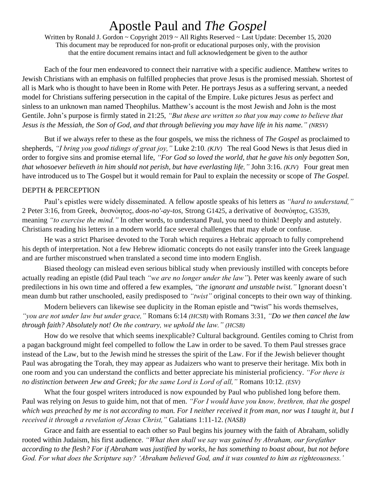Written by Ronald J. Gordon ~ Copyright 2019 ~ All Rights Reserved ~ Last Update: December 15, 2020 This document may be reproduced for non-profit or educational purposes only, with the provision that the entire document remains intact and full acknowledgement be given to the author

Each of the four men endeavored to connect their narrative with a specific audience. Matthew writes to Jewish Christians with an emphasis on fulfilled prophecies that prove Jesus is the promised messiah. Shortest of all is Mark who is thought to have been in Rome with Peter. He portrays Jesus as a suffering servant, a needed model for Christians suffering persecution in the capital of the Empire. Luke pictures Jesus as perfect and sinless to an unknown man named Theophilus. Matthew's account is the most Jewish and John is the most Gentile. John's purpose is firmly stated in 21:25, *"But these are written so that you may come to believe that Jesus is the Messiah, the Son of God, and that through believing you may have life in his name." (NRSV)*

But if we always refer to these as the four gospels, we miss the richness of *The Gospel* as proclaimed to shepherds, *"I bring you good tidings of great joy,"* Luke 2:10*. (KJV)* The real Good News is that Jesus died in order to forgive sins and promise eternal life, *"For God so loved the world, that he gave his only begotten Son, that whosoever believeth in him should not perish, but have everlasting life,"* John 3:16. *(KJV)* Four great men have introduced us to The Gospel but it would remain for Paul to explain the necessity or scope of *The Gospel.*

### DEPTH & PERCEPTION

Paul's epistles were widely disseminated. A fellow apostle speaks of his letters as *"hard to understand,"* 2 Peter 3:16, from Greek, δυσνόητος, *doos-no'-ay-tos,* Strong G1425, a derivative of δυσνόητος, G3539, meaning *"to exercise the mind."* In other words, to understand Paul, you need to think! Deeply and astutely. Christians reading his letters in a modern world face several challenges that may elude or confuse.

He was a strict Pharisee devoted to the Torah which requires a Hebraic approach to fully comprehend his depth of interpretation. Not a few Hebrew idiomatic concepts do not easily transfer into the Greek language and are further misconstrued when translated a second time into modern English.

Biased theology can mislead even serious biblical study when previously instilled with concepts before actually reading an epistle (did Paul teach *"we are no longer under the law"*). Peter was keenly aware of such predilections in his own time and offered a few examples, *"the ignorant and unstable twist."* Ignorant doesn't mean dumb but rather unschooled, easily predisposed to *"twist"* original concepts to their own way of thinking.

Modern believers can likewise see duplicity in the Roman epistle and "twist" his words themselves, *"you are not under law but under grace,"* Romans 6:14 *(HCSB)* with Romans 3:31, *"Do we then cancel the law through faith? Absolutely not! On the contrary, we uphold the law." (HCSB)*

How do we resolve that which seems inexplicable? Cultural background. Gentiles coming to Christ from a pagan background might feel compelled to follow the Law in order to be saved. To them Paul stresses grace instead of the Law, but to the Jewish mind he stresses the spirit of the Law. For if the Jewish believer thought Paul was abrogating the Torah, they may appear as Judaizers who want to preserve their heritage. Mix both in one room and you can understand the conflicts and better appreciate his ministerial proficiency. *"For there is no distinction between Jew and Greek; for the same Lord is Lord of all,"* Romans 10:12. *(ESV)*

What the four gospel writers introduced is now expounded by Paul who published long before them. Paul was relying on Jesus to guide him, not that of men. *"For I would have you know, brethren, that the gospel which was preached by me is not according to man. For I neither received it from man, nor was I taught it, but I received it through a revelation of Jesus Christ,"* Galatians 1:11-12. *(NASB)*

Grace and faith are essential to each other so Paul begins his journey with the faith of Abraham, solidly rooted within Judaism, his first audience. *"What then shall we say was gained by Abraham, our forefather according to the flesh? For if Abraham was justified by works, he has something to boast about, but not before God. For what does the Scripture say? 'Abraham believed God, and it was counted to him as righteousness.'*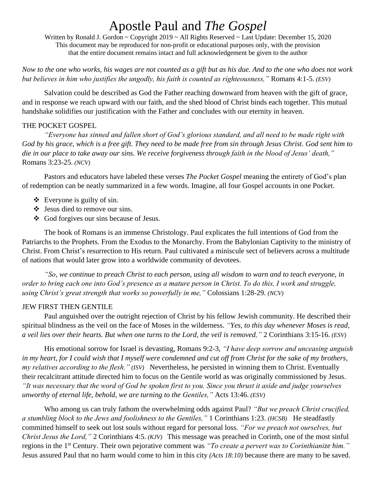Written by Ronald J. Gordon ~ Copyright 2019 ~ All Rights Reserved ~ Last Update: December 15, 2020 This document may be reproduced for non-profit or educational purposes only, with the provision that the entire document remains intact and full acknowledgement be given to the author

*Now to the one who works, his wages are not counted as a gift but as his due. And to the one who does not work but believes in him who justifies the ungodly, his faith is counted as righteousness,"* Romans 4:1-5. *(ESV)*

Salvation could be described as God the Father reaching downward from heaven with the gift of grace, and in response we reach upward with our faith, and the shed blood of Christ binds each together. This mutual handshake solidifies our justification with the Father and concludes with our eternity in heaven.

### THE POCKET GOSPEL

*"Everyone has sinned and fallen short of God's glorious standard, and all need to be made right with God by his grace, which is a free gift. They need to be made free from sin through Jesus Christ. God sent him to die in our place to take away our sins. We receive forgiveness through faith in the blood of Jesus' death,"* Romans 3:23-25. *(NCV)*

Pastors and educators have labeled these verses *The Pocket Gospel* meaning the entirety of God's plan of redemption can be neatly summarized in a few words. Imagine, all four Gospel accounts in one Pocket.

- $\triangleleft$  Everyone is guilty of sin.
- ❖ Jesus died to remove our sins.
- ❖ God forgives our sins because of Jesus.

The book of Romans is an immense Christology. Paul explicates the full intentions of God from the Patriarchs to the Prophets. From the Exodus to the Monarchy. From the Babylonian Captivity to the ministry of Christ. From Christ's resurrection to His return. Paul cultivated a miniscule sect of believers across a multitude of nations that would later grow into a worldwide community of devotees.

*"So, we continue to preach Christ to each person, using all wisdom to warn and to teach everyone, in order to bring each one into God's presence as a mature person in Christ. To do this, I work and struggle, using Christ's great strength that works so powerfully in me,"* Colossians 1:28-29. *(NCV)*

### JEW FIRST THEN GENTILE

Paul anguished over the outright rejection of Christ by his fellow Jewish community. He described their spiritual blindness as the veil on the face of Moses in the wilderness. *"Yes, to this day whenever Moses is read, a veil lies over their hearts. But when one turns to the Lord, the veil is removed,"* 2 Corinthians 3:15-16. *(ESV)*

His emotional sorrow for Israel is devasting, Romans 9:2-3, *"I have deep sorrow and unceasing anguish*  in my heart, for I could wish that I myself were condemned and cut off from Christ for the sake of my brothers, *my relatives according to the flesh." (ISV)* Nevertheless, he persisted in winning them to Christ. Eventually their recalcitrant attitude directed him to focus on the Gentile world as was originally commissioned by Jesus. *"It was necessary that the word of God be spoken first to you. Since you thrust it aside and judge yourselves unworthy of eternal life, behold, we are turning to the Gentiles,"* Acts 13:46. *(ESV)*

Who among us can truly fathom the overwhelming odds against Paul? *"But we preach Christ crucified, a stumbling block to the Jews and foolishness to the Gentiles,"* 1 Corinthians 1:23. *(HCSB)* He steadfastly committed himself to seek out lost souls without regard for personal loss. *"For we preach not ourselves, but Christ Jesus the Lord,"* 2 Corinthians 4:5. *(KJV)* This message was preached in Corinth, one of the most sinful regions in the 1st Century. Their own pejorative comment was *"To create a pervert was to Corinthianize him."* Jesus assured Paul that no harm would come to him in this city *(Acts 18:10)* because there are many to be saved.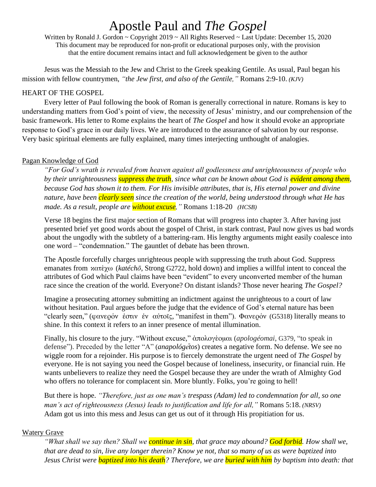Written by Ronald J. Gordon ~ Copyright 2019 ~ All Rights Reserved ~ Last Update: December 15, 2020 This document may be reproduced for non-profit or educational purposes only, with the provision that the entire document remains intact and full acknowledgement be given to the author

Jesus was the Messiah to the Jew and Christ to the Greek speaking Gentile. As usual, Paul began his mission with fellow countrymen, *"the Jew first, and also of the Gentile,"* Romans 2:9-10. *(KJV)*

### HEART OF THE GOSPEL

Every letter of Paul following the book of Roman is generally correctional in nature. Romans is key to understanding matters from God's point of view, the necessity of Jesus' ministry, and our comprehension of the basic framework. His letter to Rome explains the heart of *The Gospel* and how it should evoke an appropriate response to God's grace in our daily lives. We are introduced to the assurance of salvation by our response. Very basic spiritual elements are fully explained, many times interjecting unthought of analogies.

### Pagan Knowledge of God

*"For God's wrath is revealed from heaven against all godlessness and unrighteousness of people who by their unrighteousness suppress the truth, since what can be known about God is evident among them, because God has shown it to them. For His invisible attributes, that is, His eternal power and divine nature, have been clearly seen since the creation of the world, being understood through what He has made. As a result, people are without excuse,"* Romans 1:18-20 *(HCSB)*

Verse 18 begins the first major section of Romans that will progress into chapter 3. After having just presented brief yet good words about the gospel of Christ, in stark contrast, Paul now gives us bad words about the ungodly with the subtlety of a battering-ram. His lengthy arguments might easily coalesce into one word – "condemnation." The gauntlet of debate has been thrown.

The Apostle forcefully charges unrighteous people with suppressing the truth about God. Suppress emanates from κατέχω (*katéchō*, Strong G2722, hold down) and implies a willful intent to conceal the attributes of God which Paul claims have been "evident" to every unconverted member of the human race since the creation of the world. Everyone? On distant islands? Those never hearing *The Gospel?*

Imagine a prosecuting attorney submitting an indictment against the unrighteous to a court of law without hesitation. Paul argues before the judge that the evidence of God's eternal nature has been "clearly seen," (φανερόν ἐστιν ἐν αὐτοῖς, "manifest in them"). Φανερόν (G5318) literally means to shine. In this context it refers to an inner presence of mental illumination.

Finally, his closure to the jury. "Without excuse," [ἀπολογέομαι](https://en.wiktionary.org/w/index.php?title=%E1%BC%80%CF%80%CE%BF%CE%BB%CE%BF%CE%B3%CE%AD%CE%BF%CE%BC%CE%B1%CE%B9&action=edit&redlink=1) (*apologéomai*, G379, "to speak in defense"). Preceded by the letter "A" (*anapológe*̄*tos*) creates a negative form. No defense. We see no wiggle room for a rejoinder. His purpose is to fiercely demonstrate the urgent need of *The Gospel* by everyone. He is not saying you need the Gospel because of loneliness, insecurity, or financial ruin. He wants unbelievers to realize they need the Gospel because they are under the wrath of Almighty God who offers no tolerance for complacent sin. More bluntly. Folks, you're going to hell!

But there is hope. *"Therefore, just as one man's trespass (Adam) led to condemnation for all, so one man's act of righteousness (Jesus) leads to justification and life for all,"* Romans 5:18. *(NRSV)* Adam got us into this mess and Jesus can get us out of it through His propitiation for us.

### Watery Grave

*"What shall we say then? Shall we continue in sin, that grace may abound? God forbid. How shall we, that are dead to sin, live any longer therein? Know ye not, that so many of us as were baptized into Jesus Christ were baptized into his death? Therefore, we are buried with him by baptism into death: that*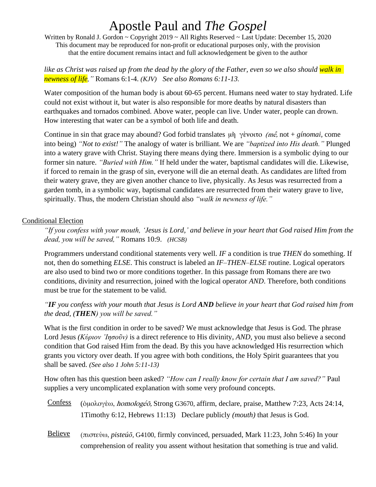Written by Ronald J. Gordon ~ Copyright 2019 ~ All Rights Reserved ~ Last Update: December 15, 2020 This document may be reproduced for non-profit or educational purposes only, with the provision that the entire document remains intact and full acknowledgement be given to the author

*like as Christ was raised up from the dead by the glory of the Father, even so we also should walk in newness of life,"* Romans 6:1-4. *(KJV) See also Romans 6:11-13.*

Water composition of the human body is about 60-65 percent. Humans need water to stay hydrated. Life could not exist without it, but water is also responsible for more deaths by natural disasters than earthquakes and tornados combined. Above water, people can live. Under water, people can drown. How interesting that water can be a symbol of both life and death.

Continue in sin that grace may abound? God forbid translates μὴ γένοιτο (mḗ, not + *gínomai,* come into being) *"Not to exist!"* The analogy of water is brilliant. We are *"baptized into His death."* Plunged into a watery grave with Christ. Staying there means dying there. Immersion is a symbolic dying to our former sin nature. *"Buried with Him."* If held under the water, baptismal candidates will die. Likewise, if forced to remain in the grasp of sin, everyone will die an eternal death. As candidates are lifted from their watery grave, they are given another chance to live, physically. As Jesus was resurrected from a garden tomb, in a symbolic way, baptismal candidates are resurrected from their watery grave to live, spiritually. Thus, the modern Christian should also *"walk in newness of life."*

### Conditional Election

*"If you confess with your mouth, 'Jesus is Lord,' and believe in your heart that God raised Him from the dead, you will be saved,"* Romans 10:9. *(HCSB)*

Programmers understand conditional statements very well. *IF* a condition is true *THEN* do something. If not, then do something *ELSE*. This construct is labeled an *IF–THEN–ELSE* routine. Logical operators are also used to bind two or more conditions together. In this passage from Romans there are two conditions, divinity and resurrection, joined with the logical operator *AND*. Therefore, both conditions must be true for the statement to be valid.

*"IF you confess with your mouth that Jesus is Lord AND believe in your heart that God raised him from the dead, (THEN) you will be saved."*

What is the first condition in order to be saved? We must acknowledge that Jesus is God. The phrase Lord Jesus *(Κύριον ᾿Ιησοῦν)* is a direct reference to His divinity, *AND*, you must also believe a second condition that God raised Him from the dead. By this you have acknowledged His resurrection which grants you victory over death. If you agree with both conditions, the Holy Spirit guarantees that you shall be saved. *(See also 1 John 5:11-13)*

How often has this question been asked? *"How can I really know for certain that I am saved?"* Paul supplies a very uncomplicated explanation with some very profound concepts.

- Confess (ὁμολογέω, homologéō, Strong G3670, affirm, declare, praise, Matthew 7:23, Acts 24:14, 1Timothy 6:12, Hebrews 11:13) Declare publicly *(mouth)* that Jesus is God.
- Believe (πιστεύω, *pisteúō,* G4100, firmly convinced, persuaded, Mark 11:23, John 5:46) In your comprehension of reality you assent without hesitation that something is true and valid.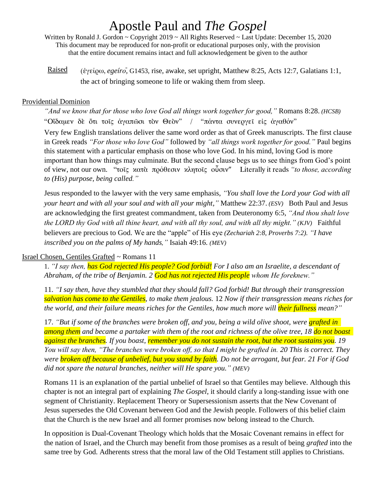Written by Ronald J. Gordon ~ Copyright 2019 ~ All Rights Reserved ~ Last Update: December 15, 2020 This document may be reproduced for non-profit or educational purposes only, with the provision that the entire document remains intact and full acknowledgement be given to the author

Raised (ἐγείρω, *egeíro*̄*,* G1453, rise, awake, set upright, Matthew 8:25, Acts 12:7, Galatians 1:1, the act of bringing someone to life or waking them from sleep.

### Providential Dominion

*"And we know that for those who love God all things work together for good,"* Romans 8:28. *(HCSB)* "Οἴδαμεν δὲ ὅτι τοῖς ἀγαπῶσι τὸν Θεὸν" / "πάντα συνεργεῖ εἰς ἀγαθόν" Very few English translations deliver the same word order as that of Greek manuscripts. The first clause in Greek reads *"For those who love God"* followed by *"all things work together for good."* Paul begins this statement with a particular emphasis on those who love God. In his mind, loving God is more important than how things may culminate. But the second clause begs us to see things from God's point of view, not our own. "τοῖς κατὰ πρόθεσιν κλητοῖς οὖσιν" Literally it reads *"to those, according to (His) purpose, being called."*

Jesus responded to the lawyer with the very same emphasis, *"You shall love the Lord your God with all your heart and with all your soul and with all your might,"* Matthew 22:37. *(ESV)* Both Paul and Jesus are acknowledging the first greatest commandment, taken from Deuteronomy 6:5, *"And thou shalt love the LORD thy God with all thine heart, and with all thy soul, and with all thy might." (KJV)* Faithful believers are precious to God. We are the "apple" of His eye *(Zechariah 2:8, Proverbs 7:2). "I have inscribed you on the palms of My hands,"* Isaiah 49:16. *(MEV)*

### Israel Chosen, Gentiles Grafted ~ Romans 11

1. *"I say then, has God rejected His people? God forbid! For I also am an Israelite, a descendant of Abraham, of the tribe of Benjamin. 2 God has not rejected His people whom He foreknew."*

11. *"I say then, have they stumbled that they should fall? God forbid! But through their transgression salvation has come to the Gentiles, to make them jealous.* 12 *Now if their transgression means riches for the world, and their failure means riches for the Gentiles, how much more will their fullness mean?"*

17. *"But if some of the branches were broken off, and you, being a wild olive shoot, were grafted in among them and became a partaker with them of the root and richness of the olive tree, 18 do not boast against the branches. If you boast, remember you do not sustain the root, but the root sustains you. 19 You will say then, "The branches were broken off, so that I might be grafted in. 20 This is correct. They were broken off because of unbelief, but you stand by faith. Do not be arrogant, but fear. 21 For if God did not spare the natural branches, neither will He spare you." (MEV)*

Romans 11 is an explanation of the partial unbelief of Israel so that Gentiles may believe. Although this chapter is not an integral part of explaining *The Gospel*, it should clarify a long-standing issue with one segment of Christianity. Replacement Theory or Supersessionism asserts that the New Covenant of Jesus supersedes the Old Covenant between God and the Jewish people. Followers of this belief claim that the Church is the new Israel and all former promises now belong instead to the Church.

In opposition is Dual-Covenant Theology which holds that the Mosaic Covenant remains in effect for the nation of Israel, and the Church may benefit from those promises as a result of being *grafted* into the same tree by God. Adherents stress that the moral law of the Old Testament still applies to Christians.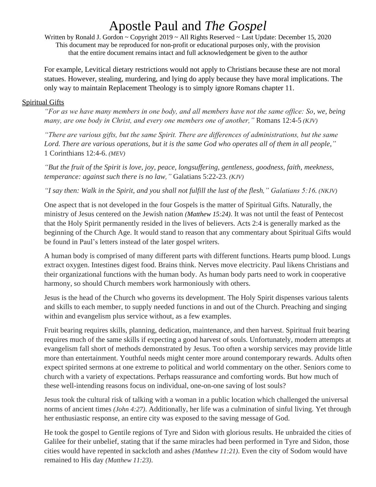Written by Ronald J. Gordon ~ Copyright 2019 ~ All Rights Reserved ~ Last Update: December 15, 2020 This document may be reproduced for non-profit or educational purposes only, with the provision that the entire document remains intact and full acknowledgement be given to the author

For example, Levitical dietary restrictions would not apply to Christians because these are not moral statues. However, stealing, murdering, and lying do apply because they have moral implications. The only way to maintain Replacement Theology is to simply ignore Romans chapter 11.

### Spiritual Gifts

*"For as we have many members in one body, and all members have not the same office: So, we, being many, are one body in Christ, and every one members one of another,"* Romans 12:4-5 *(KJV)*

*"There are various gifts, but the same Spirit. There are differences of administrations, but the same Lord. There are various operations, but it is the same God who operates all of them in all people,"*  1 Corinthians 12:4-6. *(MEV)*

*"But the fruit of the Spirit is love, joy, peace, longsuffering, gentleness, goodness, faith, meekness, temperance: against such there is no law,"* Galatians 5:22-23. *(KJV)* 

*"I say then: Walk in the Spirit, and you shall not fulfill the lust of the flesh," Galatians 5:16. (NKJV)*

One aspect that is not developed in the four Gospels is the matter of Spiritual Gifts. Naturally, the ministry of Jesus centered on the Jewish nation *(Matthew 15:24)*. It was not until the feast of Pentecost that the Holy Spirit permanently resided in the lives of believers. Acts 2:4 is generally marked as the beginning of the Church Age. It would stand to reason that any commentary about Spiritual Gifts would be found in Paul's letters instead of the later gospel writers.

A human body is comprised of many different parts with different functions. Hearts pump blood. Lungs extract oxygen. Intestines digest food. Brains think. Nerves move electricity. Paul likens Christians and their organizational functions with the human body. As human body parts need to work in cooperative harmony, so should Church members work harmoniously with others.

Jesus is the head of the Church who governs its development. The Holy Spirit dispenses various talents and skills to each member, to supply needed functions in and out of the Church. Preaching and singing within and evangelism plus service without, as a few examples.

Fruit bearing requires skills, planning, dedication, maintenance, and then harvest. Spiritual fruit bearing requires much of the same skills if expecting a good harvest of souls. Unfortunately, modern attempts at evangelism fall short of methods demonstrated by Jesus. Too often a worship services may provide little more than entertainment. Youthful needs might center more around contemporary rewards. Adults often expect spirited sermons at one extreme to political and world commentary on the other. Seniors come to church with a variety of expectations. Perhaps reassurance and comforting words. But how much of these well-intending reasons focus on individual, one-on-one saving of lost souls?

Jesus took the cultural risk of talking with a woman in a public location which challenged the universal norms of ancient times *(John 4:27)*. Additionally, her life was a culmination of sinful living. Yet through her enthusiastic response, an entire city was exposed to the saving message of God.

He took the gospel to Gentile regions of Tyre and Sidon with glorious results. He unbraided the cities of Galilee for their unbelief, stating that if the same miracles had been performed in Tyre and Sidon, those cities would have repented in sackcloth and ashes *(Matthew 11:21)*. Even the city of Sodom would have remained to His day *(Matthew 11:23)*.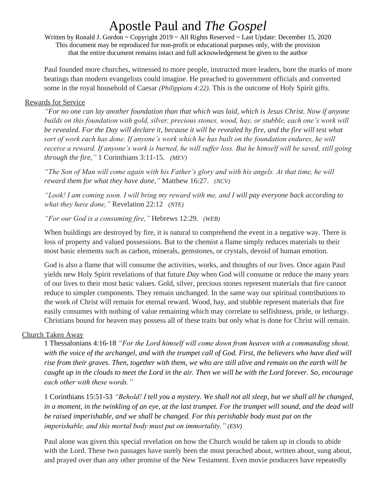Written by Ronald J. Gordon ~ Copyright 2019 ~ All Rights Reserved ~ Last Update: December 15, 2020 This document may be reproduced for non-profit or educational purposes only, with the provision that the entire document remains intact and full acknowledgement be given to the author

Paul founded more churches, witnessed to more people, instructed more leaders, bore the marks of more beatings than modern evangelists could imagine. He preached to government officials and converted some in the royal household of Caesar *(Philippians 4:22)*. This is the outcome of Holy Spirit gifts.

### Rewards for Service

*"For no one can lay another foundation than that which was laid, which is Jesus Christ. Now if anyone builds on this foundation with gold, silver, precious stones, wood, hay, or stubble, each one's work will be revealed. For the Day will declare it, because it will be revealed by fire, and the fire will test what sort of work each has done. If anyone's work which he has built on the foundation endures, he will*  receive a reward. If anyone's work is burned, he will suffer loss. But he himself will be saved, still going *through the fire,"* 1 Corinthians 3:11-15. *(MEV)*

*"The Son of Man will come again with his Father's glory and with his angels. At that time, he will reward them for what they have done,"* Matthew 16:27. *(NCV)*

*"Look! I am coming soon. I will bring my reward with me, and I will pay everyone back according to what they have done,"* Revelation 22:12 *(NTE)*

*"For our God is a consuming fire,"* Hebrews 12:29. *(WEB)*

When buildings are destroyed by fire, it is natural to comprehend the event in a negative way. There is loss of property and valued possessions. But to the chemist a flame simply reduces materials to their most basic elements such as carbon, minerals, gemstones, or crystals, devoid of human emotion.

God is also a flame that will consume the activities, works, and thoughts of our lives. Once again Paul yields new Holy Spirit revelations of that future *Day* when God will consume or reduce the many years of our lives to their most basic values. Gold, silver, precious stones represent materials that fire cannot reduce to simpler components. They remain unchanged. In the same way our spiritual contributions to the work of Christ will remain for eternal reward. Wood, hay, and stubble represent materials that fire easily consumes with nothing of value remaining which may correlate to selfishness, pride, or lethargy. Christians bound for heaven may possess all of these traits but only what is done for Christ will remain.

### Church Taken Away

1 Thessalonians 4:16-18 *"For the Lord himself will come down from heaven with a commanding shout, with the voice of the archangel, and with the trumpet call of God. First, the believers who have died will rise from their graves. Then, together with them, we who are still alive and remain on the earth will be caught up in the clouds to meet the Lord in the air. Then we will be with the Lord forever. So, encourage each other with these words."*

1 Corinthians 15:51-53 *"Behold! I tell you a mystery. We shall not all sleep, but we shall all be changed, in a moment, in the twinkling of an eye, at the last trumpet. For the trumpet will sound, and the dead will be raised imperishable, and we shall be changed. For this perishable body must put on the imperishable, and this mortal body must put on immortality." (ESV)*

Paul alone was given this special revelation on how the Church would be taken up in clouds to abide with the Lord. These two passages have surely been the most preached about, written about, sung about, and prayed over than any other promise of the New Testament. Even movie producers have repeatedly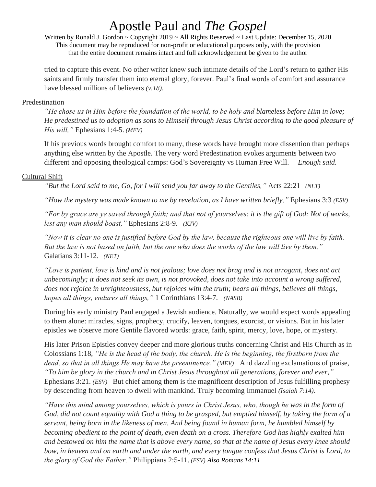Written by Ronald J. Gordon ~ Copyright 2019 ~ All Rights Reserved ~ Last Update: December 15, 2020 This document may be reproduced for non-profit or educational purposes only, with the provision that the entire document remains intact and full acknowledgement be given to the author

tried to capture this event. No other writer knew such intimate details of the Lord's return to gather His saints and firmly transfer them into eternal glory, forever. Paul's final words of comfort and assurance have blessed millions of believers *(v.18)*.

### Predestination

*"He chose us in Him before the foundation of the world, to be holy and blameless before Him in love; He predestined us to adoption as sons to Himself through Jesus Christ according to the good pleasure of His will,"* Ephesians 1:4-5. *(MEV)*

If his previous words brought comfort to many, these words have brought more dissention than perhaps anything else written by the Apostle. The very word Predestination evokes arguments between two different and opposing theological camps: God's Sovereignty vs Human Free Will. *Enough said.*

### Cultural Shift

*"But the Lord said to me, Go, for I will send you far away to the Gentiles,"* Acts 22:21 *(NLT)*

*"How the mystery was made known to me by revelation, as I have written briefly,"* Ephesians 3:3 *(ESV)*

*"For by grace are ye saved through faith; and that not of yourselves: it is the gift of God: Not of works, lest any man should boast,"* Ephesians 2:8-9. *(KJV)*

*"Now it is clear no one is justified before God by the law, because the righteous one will live by faith. But the law is not based on faith, but the one who does the works of the law will live by them,"*  Galatians 3:11-12. *(NET)*

*"Love is patient, love is kind and is not jealous; love does not brag and is not arrogant, does not act unbecomingly; it does not seek its own, is not provoked, does not take into account a wrong suffered, does not rejoice in unrighteousness, but rejoices with the truth; bears all things, believes all things, hopes all things, endures all things,"* 1 Corinthians 13:4-7. *(NASB)*

During his early ministry Paul engaged a Jewish audience. Naturally, we would expect words appealing to them alone: miracles, signs, prophecy, crucify, leaven, tongues, exorcist, or visions. But in his later epistles we observe more Gentile flavored words: grace, faith, spirit, mercy, love, hope, or mystery.

His later Prison Epistles convey deeper and more glorious truths concerning Christ and His Church as in Colossians 1:18, *"He is the head of the body, the church. He is the beginning, the firstborn from the dead, so that in all things He may have the preeminence." (MEV)* And dazzling exclamations of praise, *"To him be glory in the church and in Christ Jesus throughout all generations, forever and ever,"* Ephesians 3:21. *(ESV)* But chief among them is the magnificent description of Jesus fulfilling prophesy by descending from heaven to dwell with mankind. Truly becoming Immanuel *(Isaiah 7:14)*.

*"Have this mind among yourselves, which is yours in Christ Jesus, who, though he was in the form of God, did not count equality with God a thing to be grasped, but emptied himself, by taking the form of a servant, being born in the likeness of men. And being found in human form, he humbled himself by becoming obedient to the point of death, even death on a cross. Therefore God has highly exalted him and bestowed on him the name that is above every name, so that at the name of Jesus every knee should bow, in heaven and on earth and under the earth, and every tongue confess that Jesus Christ is Lord, to the glory of God the Father,"* Philippians 2:5-11. *(ESV) Also Romans 14:11*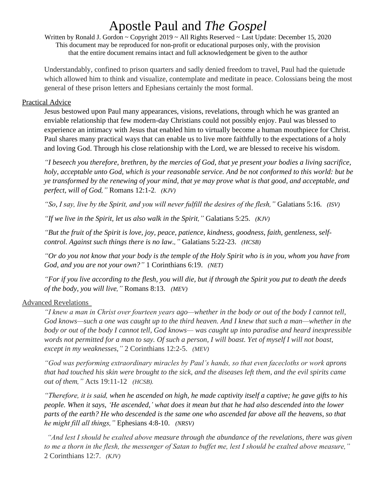Written by Ronald J. Gordon ~ Copyright 2019 ~ All Rights Reserved ~ Last Update: December 15, 2020 This document may be reproduced for non-profit or educational purposes only, with the provision that the entire document remains intact and full acknowledgement be given to the author

Understandably, confined to prison quarters and sadly denied freedom to travel, Paul had the quietude which allowed him to think and visualize, contemplate and meditate in peace. Colossians being the most general of these prison letters and Ephesians certainly the most formal.

### Practical Advice

Jesus bestowed upon Paul many appearances, visions, revelations, through which he was granted an enviable relationship that few modern-day Christians could not possibly enjoy. Paul was blessed to experience an intimacy with Jesus that enabled him to virtually become a human mouthpiece for Christ. Paul shares many practical ways that can enable us to live more faithfully to the expectations of a holy and loving God. Through his close relationship with the Lord, we are blessed to receive his wisdom.

*"I beseech you therefore, brethren, by the mercies of God, that ye present your bodies a living sacrifice, holy, acceptable unto God, which is your reasonable service. And be not conformed to this world: but be ye transformed by the renewing of your mind, that ye may prove what is that good, and acceptable, and perfect, will of God,"* Romans 12:1-2. *(KJV)*

*"So, I say, live by the Spirit, and you will never fulfill the desires of the flesh,"* Galatians 5:16. *(ISV)*

*"If we live in the Spirit, let us also walk in the Spirit,"* Galatians 5:25. *(KJV)*

*"But the fruit of the Spirit is love, joy, peace, patience, kindness, goodness, faith, gentleness, selfcontrol. Against such things there is no law.,"* Galatians 5:22-23. *(HCSB)*

*"Or do you not know that your body is the temple of the Holy Spirit who is in you, whom you have from God, and you are not your own?"* 1 Corinthians 6:19. *(NET)*

*"For if you live according to the flesh, you will die, but if through the Spirit you put to death the deeds of the body, you will live,"* Romans 8:13. *(MEV)*

### Advanced Revelations

*"I knew a man in Christ over fourteen years ago—whether in the body or out of the body I cannot tell, God knows—such a one was caught up to the third heaven. And I knew that such a man—whether in the body or out of the body I cannot tell, God knows— was caught up into paradise and heard inexpressible words not permitted for a man to say. Of such a person, I will boast. Yet of myself I will not boast, except in my weaknesses,"* 2 Corinthians 12:2-5. *(MEV)*

*"God was performing extraordinary miracles by Paul's hands, so that even facecloths or work aprons that had touched his skin were brought to the sick, and the diseases left them, and the evil spirits came out of them,"* Acts 19:11-12 *(HCSB).*

*"Therefore, it is said, when he ascended on high, he made captivity itself a captive; he gave gifts to his people. When it says, 'He ascended,' what does it mean but that he had also descended into the lower parts of the earth? He who descended is the same one who ascended far above all the heavens, so that he might fill all things,"* Ephesians 4:8-10. *(NRSV)*

*"And lest I should be exalted above measure through the abundance of the revelations, there was given to me a thorn in the flesh, the messenger of Satan to buffet me, lest I should be exalted above measure,"* 2 Corinthians 12:7. *(KJV)*